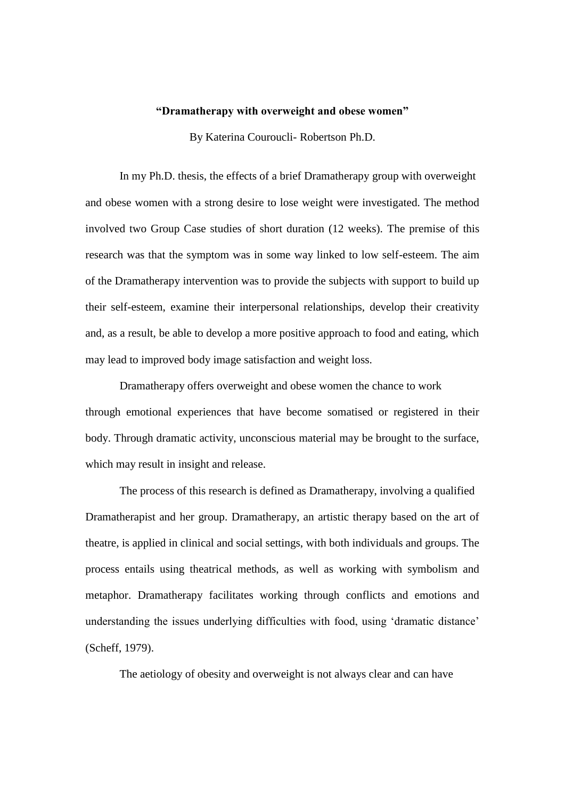## **"Dramatherapy with overweight and obese women"**

By Katerina Couroucli- Robertson Ph.D.

In my Ph.D. thesis, the effects of a brief Dramatherapy group with overweight and obese women with a strong desire to lose weight were investigated. The method involved two Group Case studies of short duration (12 weeks). The premise of this research was that the symptom was in some way linked to low self-esteem. The aim of the Dramatherapy intervention was to provide the subjects with support to build up their self-esteem, examine their interpersonal relationships, develop their creativity and, as a result, be able to develop a more positive approach to food and eating, which may lead to improved body image satisfaction and weight loss.

Dramatherapy offers overweight and obese women the chance to work through emotional experiences that have become somatised or registered in their body. Through dramatic activity, unconscious material may be brought to the surface, which may result in insight and release.

The process of this research is defined as Dramatherapy, involving a qualified Dramatherapist and her group. Dramatherapy, an artistic therapy based on the art of theatre, is applied in clinical and social settings, with both individuals and groups. The process entails using theatrical methods, as well as working with symbolism and metaphor. Dramatherapy facilitates working through conflicts and emotions and understanding the issues underlying difficulties with food, using 'dramatic distance' (Scheff, 1979).

The aetiology of obesity and overweight is not always clear and can have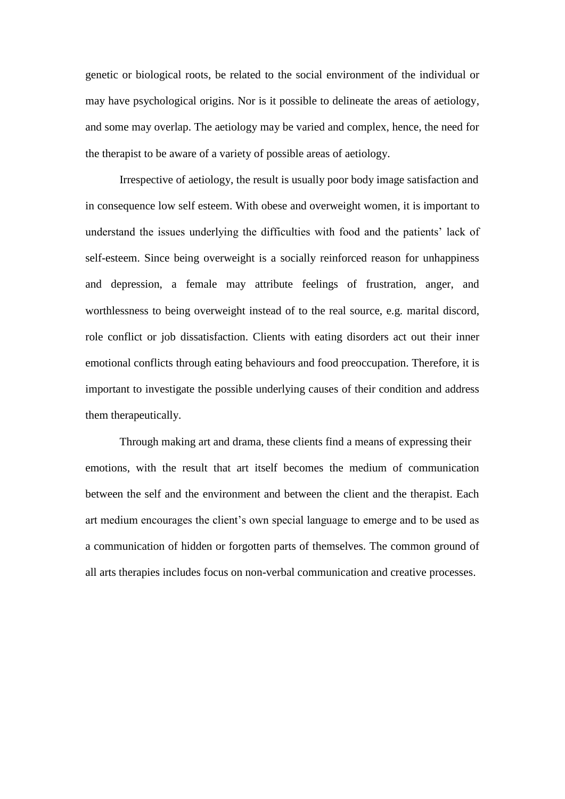genetic or biological roots, be related to the social environment of the individual or may have psychological origins. Nor is it possible to delineate the areas of aetiology, and some may overlap. The aetiology may be varied and complex, hence, the need for the therapist to be aware of a variety of possible areas of aetiology.

Irrespective of aetiology, the result is usually poor body image satisfaction and in consequence low self esteem. With obese and overweight women, it is important to understand the issues underlying the difficulties with food and the patients' lack of self-esteem. Since being overweight is a socially reinforced reason for unhappiness and depression, a female may attribute feelings of frustration, anger, and worthlessness to being overweight instead of to the real source, e.g. marital discord, role conflict or job dissatisfaction. Clients with eating disorders act out their inner emotional conflicts through eating behaviours and food preoccupation. Therefore, it is important to investigate the possible underlying causes of their condition and address them therapeutically.

Through making art and drama, these clients find a means of expressing their emotions, with the result that art itself becomes the medium of communication between the self and the environment and between the client and the therapist. Each art medium encourages the client's own special language to emerge and to be used as a communication of hidden or forgotten parts of themselves. The common ground of all arts therapies includes focus on non-verbal communication and creative processes.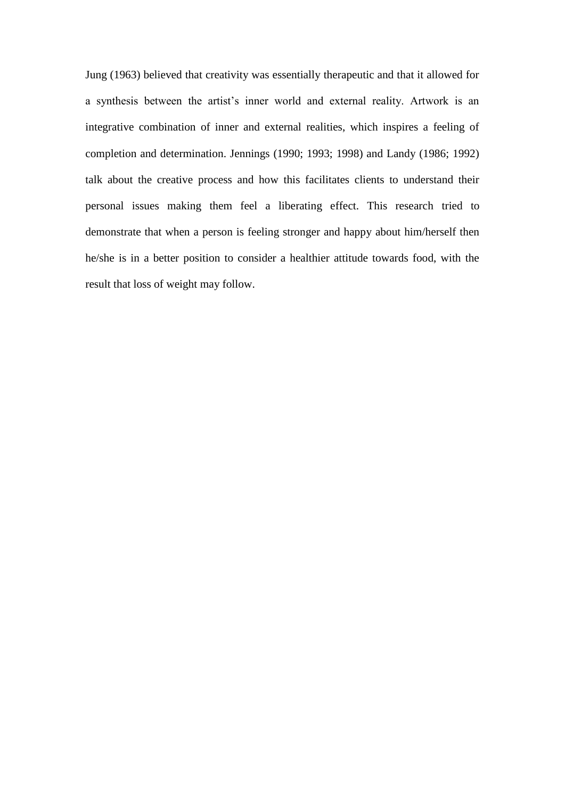Jung (1963) believed that creativity was essentially therapeutic and that it allowed for a synthesis between the artist's inner world and external reality. Artwork is an integrative combination of inner and external realities, which inspires a feeling of completion and determination. Jennings (1990; 1993; 1998) and Landy (1986; 1992) talk about the creative process and how this facilitates clients to understand their personal issues making them feel a liberating effect. This research tried to demonstrate that when a person is feeling stronger and happy about him/herself then he/she is in a better position to consider a healthier attitude towards food, with the result that loss of weight may follow.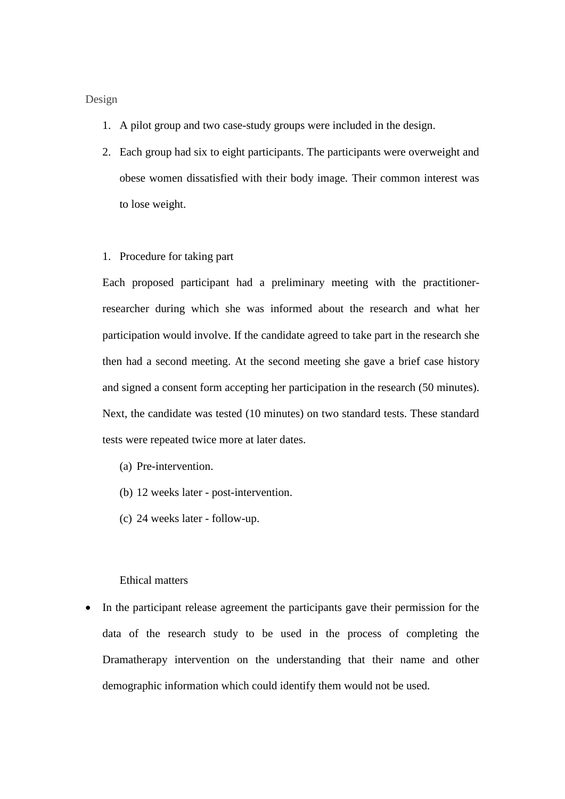## Design

- 1. A pilot group and two case-study groups were included in the design.
- 2. Each group had six to eight participants. The participants were overweight and obese women dissatisfied with their body image. Their common interest was to lose weight.
- 1. Procedure for taking part

Each proposed participant had a preliminary meeting with the practitionerresearcher during which she was informed about the research and what her participation would involve. If the candidate agreed to take part in the research she then had a second meeting. At the second meeting she gave a brief case history and signed a consent form accepting her participation in the research (50 minutes). Next, the candidate was tested (10 minutes) on two standard tests. These standard tests were repeated twice more at later dates.

- (a) Pre-intervention.
- (b) 12 weeks later post-intervention.
- (c) 24 weeks later follow-up.

## Ethical matters

 In the participant release agreement the participants gave their permission for the data of the research study to be used in the process of completing the Dramatherapy intervention on the understanding that their name and other demographic information which could identify them would not be used.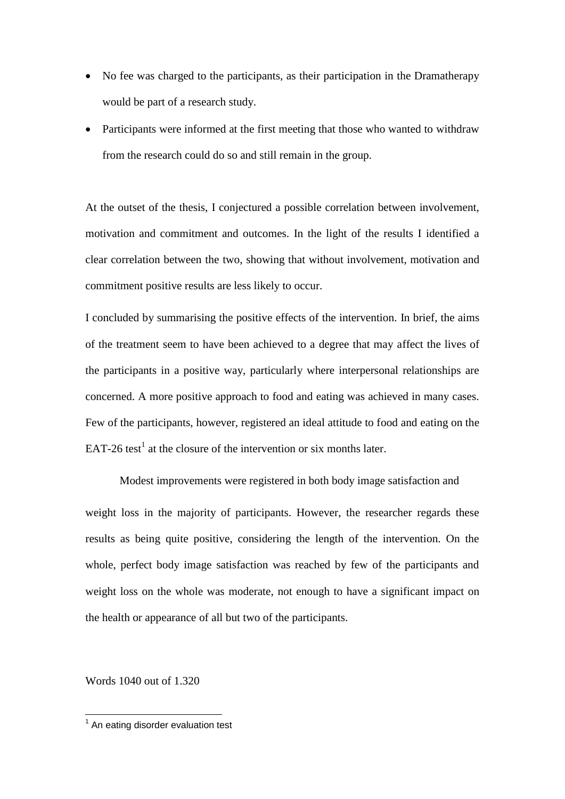- No fee was charged to the participants, as their participation in the Dramatherapy would be part of a research study.
- Participants were informed at the first meeting that those who wanted to withdraw from the research could do so and still remain in the group.

At the outset of the thesis, I conjectured a possible correlation between involvement, motivation and commitment and outcomes. In the light of the results I identified a clear correlation between the two, showing that without involvement, motivation and commitment positive results are less likely to occur.

I concluded by summarising the positive effects of the intervention. In brief, the aims of the treatment seem to have been achieved to a degree that may affect the lives of the participants in a positive way, particularly where interpersonal relationships are concerned. A more positive approach to food and eating was achieved in many cases. Few of the participants, however, registered an ideal attitude to food and eating on the EAT-26 test<sup>1</sup> at the closure of the intervention or six months later.

Modest improvements were registered in both body image satisfaction and weight loss in the majority of participants. However, the researcher regards these results as being quite positive, considering the length of the intervention. On the whole, perfect body image satisfaction was reached by few of the participants and weight loss on the whole was moderate, not enough to have a significant impact on the health or appearance of all but two of the participants.

Words 1040 out of 1.320

 1 An eating disorder evaluation test